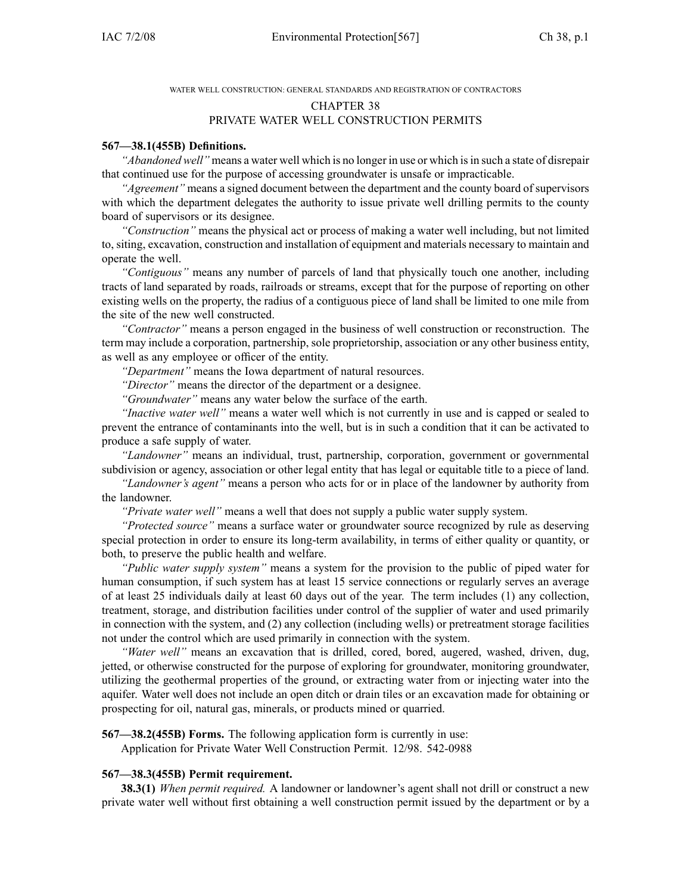WATER WELL CONSTRUCTION: GENERAL STANDARDS AND REGISTRATION OF CONTRACTORS

#### CHAPTER 38

#### PRIVATE WATER WELL CONSTRUCTION PERMITS

#### **567—38.1(455B) Definitions.**

*"Abandoned well"* means a water well which is no longer in use or which is in such a state of disrepair that continued use for the purpose of accessing groundwater is unsafe or impracticable.

*"Agreement"* means <sup>a</sup> signed document between the department and the county board of supervisors with which the department delegates the authority to issue private well drilling permits to the county board of supervisors or its designee.

*"Construction"* means the physical act or process of making <sup>a</sup> water well including, but not limited to, siting, excavation, construction and installation of equipment and materials necessary to maintain and operate the well.

*"Contiguous"* means any number of parcels of land that physically touch one another, including tracts of land separated by roads, railroads or streams, excep<sup>t</sup> that for the purpose of reporting on other existing wells on the property, the radius of <sup>a</sup> contiguous piece of land shall be limited to one mile from the site of the new well constructed.

*"Contractor"* means <sup>a</sup> person engaged in the business of well construction or reconstruction. The term may include <sup>a</sup> corporation, partnership, sole proprietorship, association or any other business entity, as well as any employee or officer of the entity.

*"Department"* means the Iowa department of natural resources.

*"Director"* means the director of the department or <sup>a</sup> designee.

*"Groundwater"* means any water below the surface of the earth.

*"Inactive water well"* means <sup>a</sup> water well which is not currently in use and is capped or sealed to preven<sup>t</sup> the entrance of contaminants into the well, but is in such <sup>a</sup> condition that it can be activated to produce <sup>a</sup> safe supply of water.

*"Landowner"* means an individual, trust, partnership, corporation, governmen<sup>t</sup> or governmental subdivision or agency, association or other legal entity that has legal or equitable title to <sup>a</sup> piece of land.

*"Landowner's agent"* means <sup>a</sup> person who acts for or in place of the landowner by authority from the landowner.

*"Private water well"* means <sup>a</sup> well that does not supply <sup>a</sup> public water supply system.

*"Protected source"* means <sup>a</sup> surface water or groundwater source recognized by rule as deserving special protection in order to ensure its long-term availability, in terms of either quality or quantity, or both, to preserve the public health and welfare.

*"Public water supply system"* means <sup>a</sup> system for the provision to the public of piped water for human consumption, if such system has at least 15 service connections or regularly serves an average of at least 25 individuals daily at least 60 days out of the year. The term includes (1) any collection, treatment, storage, and distribution facilities under control of the supplier of water and used primarily in connection with the system, and (2) any collection (including wells) or pretreatment storage facilities not under the control which are used primarily in connection with the system.

*"Water well"* means an excavation that is drilled, cored, bored, augered, washed, driven, dug, jetted, or otherwise constructed for the purpose of exploring for groundwater, monitoring groundwater, utilizing the geothermal properties of the ground, or extracting water from or injecting water into the aquifer. Water well does not include an open ditch or drain tiles or an excavation made for obtaining or prospecting for oil, natural gas, minerals, or products mined or quarried.

**567—38.2(455B) Forms.** The following application form is currently in use:

Application for Private Water Well Construction Permit. 12/98. 542-0988

## **567—38.3(455B) Permit requirement.**

**38.3(1)** *When permit required.* A landowner or landowner's agen<sup>t</sup> shall not drill or construct <sup>a</sup> new private water well without first obtaining <sup>a</sup> well construction permit issued by the department or by <sup>a</sup>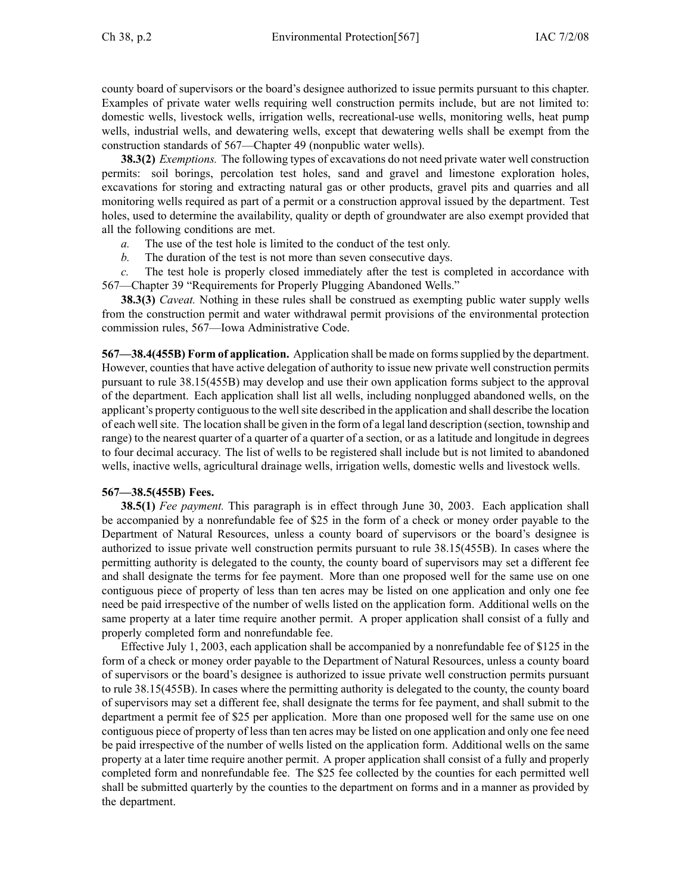county board of supervisors or the board's designee authorized to issue permits pursuan<sup>t</sup> to this chapter. Examples of private water wells requiring well construction permits include, but are not limited to: domestic wells, livestock wells, irrigation wells, recreational-use wells, monitoring wells, heat pump wells, industrial wells, and dewatering wells, excep<sup>t</sup> that dewatering wells shall be exemp<sup>t</sup> from the construction standards of 567—Chapter 49 (nonpublic water wells).

**38.3(2)** *Exemptions.* The following types of excavations do not need private water well construction permits: soil borings, percolation test holes, sand and gravel and limestone exploration holes, excavations for storing and extracting natural gas or other products, gravel pits and quarries and all monitoring wells required as par<sup>t</sup> of <sup>a</sup> permit or <sup>a</sup> construction approval issued by the department. Test holes, used to determine the availability, quality or depth of groundwater are also exemp<sup>t</sup> provided that all the following conditions are met.

- *a.* The use of the test hole is limited to the conduct of the test only.
- *b.* The duration of the test is not more than seven consecutive days.

*c.* The test hole is properly closed immediately after the test is completed in accordance with 567—Chapter 39 "Requirements for Properly Plugging Abandoned Wells."

**38.3(3)** *Caveat.* Nothing in these rules shall be construed as exempting public water supply wells from the construction permit and water withdrawal permit provisions of the environmental protection commission rules, 567—Iowa Administrative Code.

**567—38.4(455B) Form of application.** Application shall be made on formssupplied by the department. However, counties that have active delegation of authority to issue new private well construction permits pursuan<sup>t</sup> to rule 38.15(455B) may develop and use their own application forms subject to the approval of the department. Each application shall list all wells, including nonplugged abandoned wells, on the applicant's property contiguous to the well site described in the application and shall describe the location of each wellsite. The location shall be given in the form of <sup>a</sup> legal land description (section, township and range) to the nearest quarter of <sup>a</sup> quarter of <sup>a</sup> quarter of <sup>a</sup> section, or as <sup>a</sup> latitude and longitude in degrees to four decimal accuracy. The list of wells to be registered shall include but is not limited to abandoned wells, inactive wells, agricultural drainage wells, irrigation wells, domestic wells and livestock wells.

## **567—38.5(455B) Fees.**

**38.5(1)** *Fee payment.* This paragraph is in effect through June 30, 2003. Each application shall be accompanied by <sup>a</sup> nonrefundable fee of \$25 in the form of <sup>a</sup> check or money order payable to the Department of Natural Resources, unless <sup>a</sup> county board of supervisors or the board's designee is authorized to issue private well construction permits pursuan<sup>t</sup> to rule 38.15(455B). In cases where the permitting authority is delegated to the county, the county board of supervisors may set <sup>a</sup> different fee and shall designate the terms for fee payment. More than one proposed well for the same use on one contiguous piece of property of less than ten acres may be listed on one application and only one fee need be paid irrespective of the number of wells listed on the application form. Additional wells on the same property at <sup>a</sup> later time require another permit. A proper application shall consist of <sup>a</sup> fully and properly completed form and nonrefundable fee.

Effective July 1, 2003, each application shall be accompanied by <sup>a</sup> nonrefundable fee of \$125 in the form of <sup>a</sup> check or money order payable to the Department of Natural Resources, unless <sup>a</sup> county board of supervisors or the board's designee is authorized to issue private well construction permits pursuan<sup>t</sup> to rule 38.15(455B). In cases where the permitting authority is delegated to the county, the county board of supervisors may set <sup>a</sup> different fee, shall designate the terms for fee payment, and shall submit to the department <sup>a</sup> permit fee of \$25 per application. More than one proposed well for the same use on one contiguous piece of property of less than ten acres may be listed on one application and only one fee need be paid irrespective of the number of wells listed on the application form. Additional wells on the same property at <sup>a</sup> later time require another permit. A proper application shall consist of <sup>a</sup> fully and properly completed form and nonrefundable fee. The \$25 fee collected by the counties for each permitted well shall be submitted quarterly by the counties to the department on forms and in <sup>a</sup> manner as provided by the department.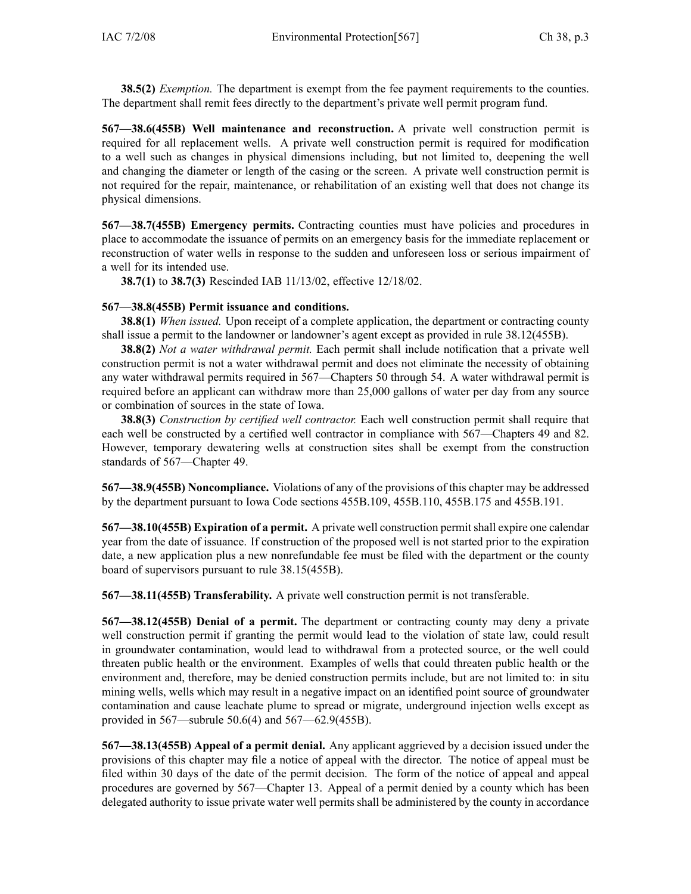**38.5(2)** *Exemption.* The department is exemp<sup>t</sup> from the fee paymen<sup>t</sup> requirements to the counties. The department shall remit fees directly to the department's private well permit program fund.

**567—38.6(455B) Well maintenance and reconstruction.** A private well construction permit is required for all replacement wells. A private well construction permit is required for modification to <sup>a</sup> well such as changes in physical dimensions including, but not limited to, deepening the well and changing the diameter or length of the casing or the screen. A private well construction permit is not required for the repair, maintenance, or rehabilitation of an existing well that does not change its physical dimensions.

**567—38.7(455B) Emergency permits.** Contracting counties must have policies and procedures in place to accommodate the issuance of permits on an emergency basis for the immediate replacement or reconstruction of water wells in response to the sudden and unforeseen loss or serious impairment of <sup>a</sup> well for its intended use.

**38.7(1)** to **38.7(3)** Rescinded IAB 11/13/02, effective 12/18/02.

## **567—38.8(455B) Permit issuance and conditions.**

**38.8(1)** *When issued.* Upon receipt of <sup>a</sup> complete application, the department or contracting county shall issue <sup>a</sup> permit to the landowner or landowner's agen<sup>t</sup> excep<sup>t</sup> as provided in rule 38.12(455B).

**38.8(2)** *Not <sup>a</sup> water withdrawal permit.* Each permit shall include notification that <sup>a</sup> private well construction permit is not <sup>a</sup> water withdrawal permit and does not eliminate the necessity of obtaining any water withdrawal permits required in 567—Chapters 50 through 54. A water withdrawal permit is required before an applicant can withdraw more than 25,000 gallons of water per day from any source or combination of sources in the state of Iowa.

**38.8(3)** *Construction by certified well contractor.* Each well construction permit shall require that each well be constructed by <sup>a</sup> certified well contractor in compliance with 567—Chapters 49 and 82. However, temporary dewatering wells at construction sites shall be exemp<sup>t</sup> from the construction standards of 567—Chapter 49.

**567—38.9(455B) Noncompliance.** Violations of any of the provisions of this chapter may be addressed by the department pursuan<sup>t</sup> to Iowa Code sections 455B.109, 455B.110, 455B.175 and 455B.191.

**567—38.10(455B) Expiration of <sup>a</sup> permit.** A private well construction permitshall expire one calendar year from the date of issuance. If construction of the proposed well is not started prior to the expiration date, <sup>a</sup> new application plus <sup>a</sup> new nonrefundable fee must be filed with the department or the county board of supervisors pursuan<sup>t</sup> to rule 38.15(455B).

**567—38.11(455B) Transferability.** A private well construction permit is not transferable.

**567—38.12(455B) Denial of <sup>a</sup> permit.** The department or contracting county may deny <sup>a</sup> private well construction permit if granting the permit would lead to the violation of state law, could result in groundwater contamination, would lead to withdrawal from <sup>a</sup> protected source, or the well could threaten public health or the environment. Examples of wells that could threaten public health or the environment and, therefore, may be denied construction permits include, but are not limited to: in situ mining wells, wells which may result in <sup>a</sup> negative impact on an identified point source of groundwater contamination and cause leachate plume to spread or migrate, underground injection wells excep<sup>t</sup> as provided in 567—subrule 50.6(4) and 567—62.9(455B).

**567—38.13(455B) Appeal of <sup>a</sup> permit denial.** Any applicant aggrieved by <sup>a</sup> decision issued under the provisions of this chapter may file <sup>a</sup> notice of appeal with the director. The notice of appeal must be filed within 30 days of the date of the permit decision. The form of the notice of appeal and appeal procedures are governed by 567—Chapter 13. Appeal of <sup>a</sup> permit denied by <sup>a</sup> county which has been delegated authority to issue private water well permits shall be administered by the county in accordance